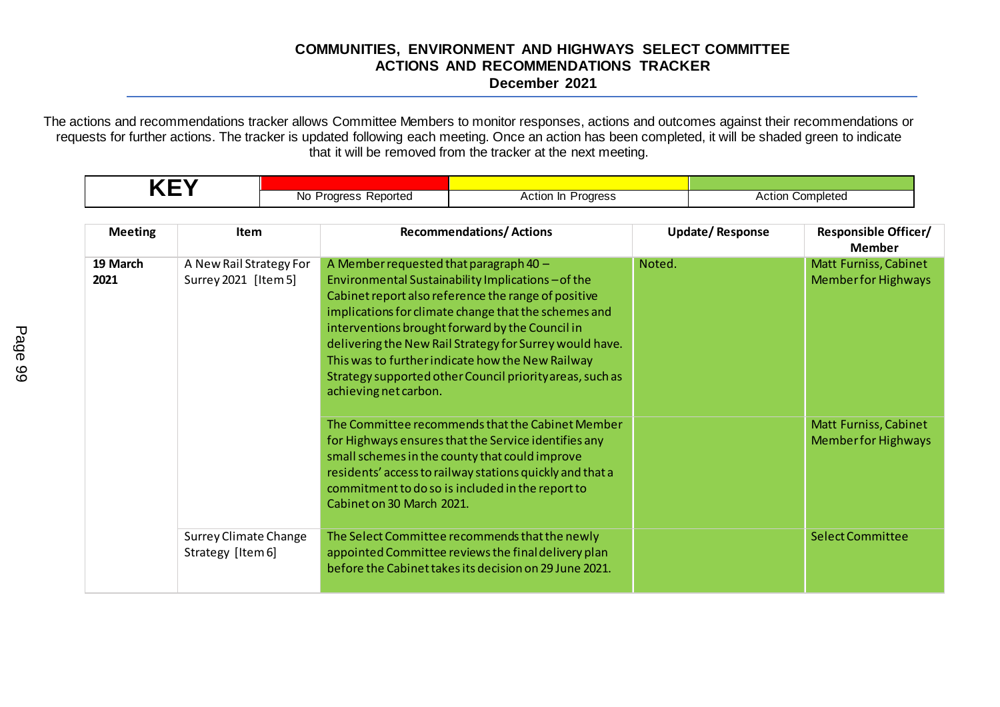## **COMMUNITIES, ENVIRONMENT AND HIGHWAYS SELECT COMMITTEE ACTIONS AND RECOMMENDATIONS TRACKER December 2021**

The actions and recommendations tracker allows Committee Members to monitor responses, actions and outcomes against their recommendations or requests for further actions. The tracker is updated following each meeting. Once an action has been completed, it will be shaded green to indicate that it will be removed from the tracker at the next meeting.

| <b>KEY</b>       |                                                   |  |                                                                 |                                                                                                                                                                                                                                                                                                                                                                                               |        |                         |                                                     |  |
|------------------|---------------------------------------------------|--|-----------------------------------------------------------------|-----------------------------------------------------------------------------------------------------------------------------------------------------------------------------------------------------------------------------------------------------------------------------------------------------------------------------------------------------------------------------------------------|--------|-------------------------|-----------------------------------------------------|--|
|                  |                                                   |  | No Progress Reported<br>Action In Progress                      |                                                                                                                                                                                                                                                                                                                                                                                               |        | <b>Action Completed</b> |                                                     |  |
|                  |                                                   |  |                                                                 |                                                                                                                                                                                                                                                                                                                                                                                               |        |                         |                                                     |  |
| <b>Meeting</b>   | <b>Item</b>                                       |  |                                                                 | <b>Recommendations/Actions</b>                                                                                                                                                                                                                                                                                                                                                                |        | <b>Update/Response</b>  | <b>Responsible Officer/</b><br><b>Member</b>        |  |
| 19 March<br>2021 | A New Rail Strategy For<br>Surrey 2021 [Item 5]   |  | A Member requested that paragraph 40 -<br>achieving net carbon. | Environmental Sustainability Implications-of the<br>Cabinet report also reference the range of positive<br>implications for climate change that the schemes and<br>interventions brought forward by the Council in<br>delivering the New Rail Strategy for Surrey would have.<br>This was to further indicate how the New Railway<br>Strategy supported other Council priority areas, such as | Noted. |                         | Matt Furniss, Cabinet<br><b>Member for Highways</b> |  |
|                  |                                                   |  | Cabinet on 30 March 2021.                                       | The Committee recommends that the Cabinet Member<br>for Highways ensures that the Service identifies any<br>small schemes in the county that could improve<br>residents' access to railway stations quickly and that a<br>commitment to do so is included in the report to                                                                                                                    |        |                         | Matt Furniss, Cabinet<br><b>Memberfor Highways</b>  |  |
|                  | <b>Surrey Climate Change</b><br>Strategy [Item 6] |  |                                                                 | The Select Committee recommends that the newly<br>appointed Committee reviews the final delivery plan<br>before the Cabinet takes its decision on 29 June 2021.                                                                                                                                                                                                                               |        |                         | <b>Select Committee</b>                             |  |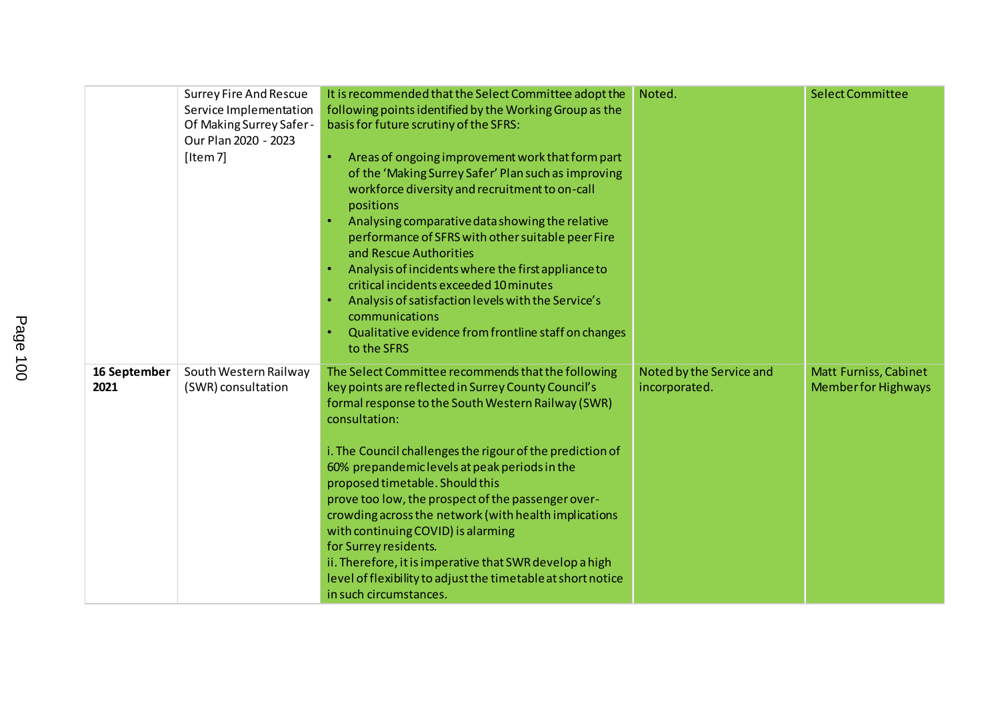|                      | <b>Surrey Fire And Rescue</b><br>Service Implementation<br>Of Making Surrey Safer-<br>Our Plan 2020 - 2023<br>[Item 7] | It is recommended that the Select Committee adopt the<br>following points identified by the Working Group as the<br>basis for future scrutiny of the SFRS:<br>Areas of ongoing improvement work that form part<br>of the 'Making Surrey Safer' Plan such as improving<br>workforce diversity and recruitment to on-call<br>positions<br>Analysing comparative data showing the relative<br>performance of SFRS with other suitable peer Fire<br>and Rescue Authorities<br>Analysis of incidents where the first appliance to<br>critical incidents exceeded 10 minutes<br>Analysis of satisfaction levels with the Service's<br>communications<br>Qualitative evidence from frontline staff on changes<br>to the SFRS | Noted.                                    | <b>Select Committee</b>                                   |
|----------------------|------------------------------------------------------------------------------------------------------------------------|-----------------------------------------------------------------------------------------------------------------------------------------------------------------------------------------------------------------------------------------------------------------------------------------------------------------------------------------------------------------------------------------------------------------------------------------------------------------------------------------------------------------------------------------------------------------------------------------------------------------------------------------------------------------------------------------------------------------------|-------------------------------------------|-----------------------------------------------------------|
| 16 September<br>2021 | South Western Railway<br>(SWR) consultation                                                                            | The Select Committee recommends that the following<br>key points are reflected in Surrey County Council's<br>formal response to the South Western Railway (SWR)<br>consultation:<br>i. The Council challenges the rigour of the prediction of<br>60% prepandemic levels at peak periods in the<br>proposed timetable. Should this<br>prove too low, the prospect of the passenger over-<br>crowding across the network (with health implications<br>with continuing COVID) is alarming<br>for Surrey residents.<br>ii. Therefore, it is imperative that SWR develop a high<br>level of flexibility to adjust the timetable at short notice<br>in such circumstances.                                                  | Noted by the Service and<br>incorporated. | <b>Matt Furniss, Cabinet</b><br><b>Memberfor Highways</b> |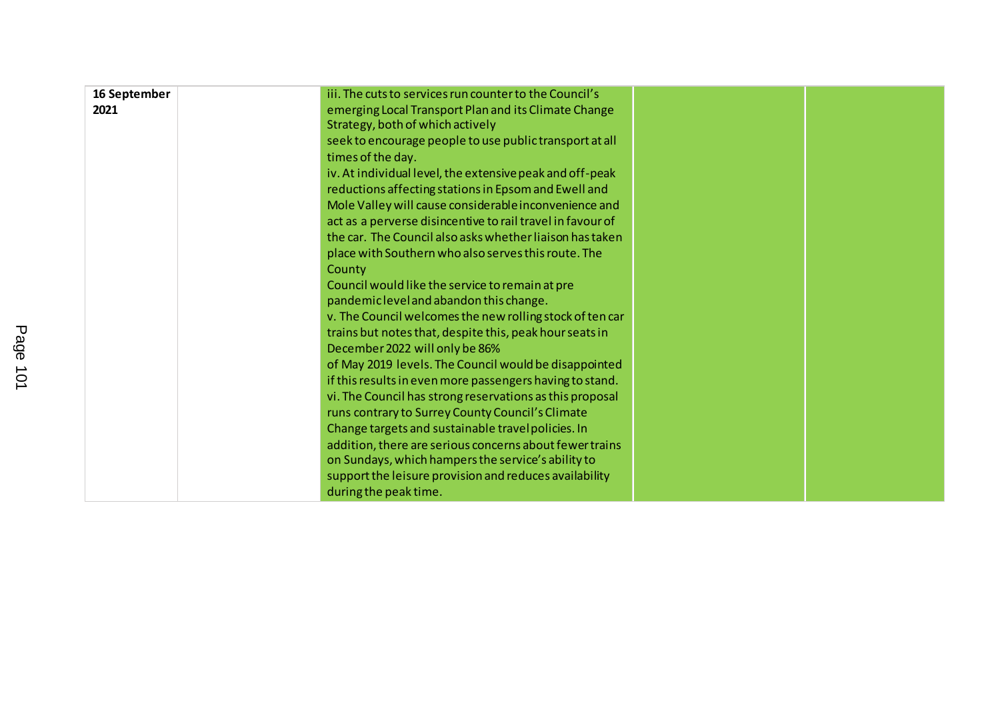| 16 September | iii. The cuts to services run counter to the Council's     |  |
|--------------|------------------------------------------------------------|--|
| 2021         | emerging Local Transport Plan and its Climate Change       |  |
|              | Strategy, both of which actively                           |  |
|              | seek to encourage people to use public transport at all    |  |
|              | times of the day.                                          |  |
|              | iv. At individual level, the extensive peak and off-peak   |  |
|              | reductions affecting stations in Epsom and Ewell and       |  |
|              | Mole Valley will cause considerable inconvenience and      |  |
|              | act as a perverse disincentive to rail travel in favour of |  |
|              | the car. The Council also asks whether liaison has taken   |  |
|              | place with Southern who also serves this route. The        |  |
|              | County                                                     |  |
|              | Council would like the service to remain at pre            |  |
|              | pandemic level and abandon this change.                    |  |
|              | v. The Council welcomes the new rolling stock of ten car   |  |
|              | trains but notes that, despite this, peak hour seats in    |  |
|              | December 2022 will only be 86%                             |  |
|              | of May 2019 levels. The Council would be disappointed      |  |
|              | if this results in even more passengers having to stand.   |  |
|              | vi. The Council has strong reservations as this proposal   |  |
|              | runs contrary to Surrey County Council's Climate           |  |
|              | Change targets and sustainable travel policies. In         |  |
|              | addition, there are serious concerns about fewer trains    |  |
|              | on Sundays, which hampers the service's ability to         |  |
|              | support the leisure provision and reduces availability     |  |
|              | during the peak time.                                      |  |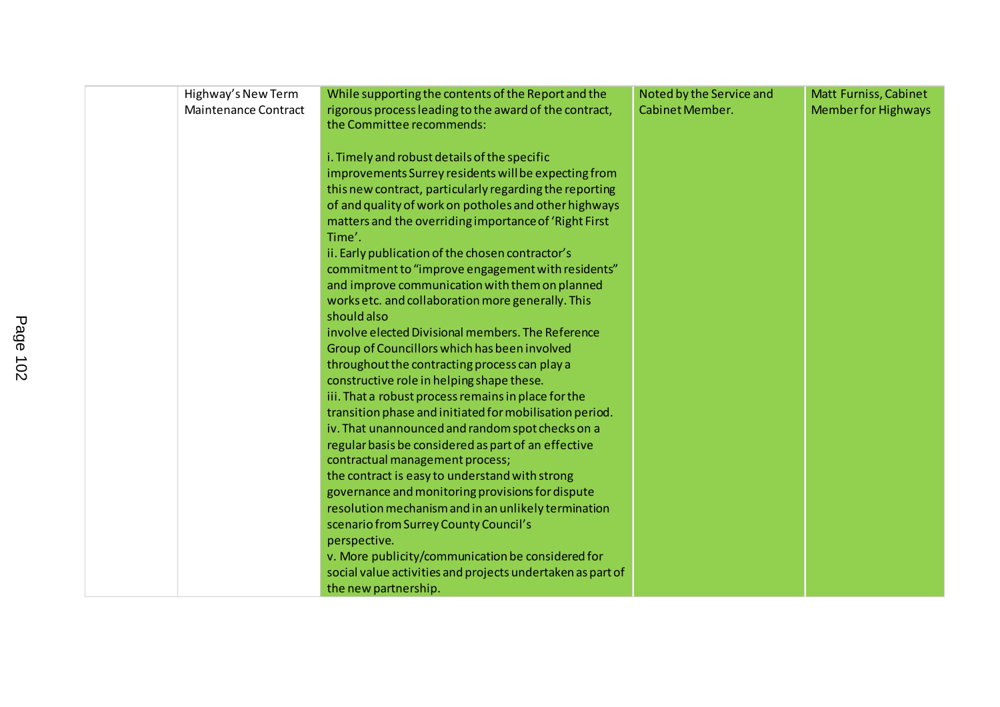| Highway's New Term          | While supporting the contents of the Report and the        | Noted by the Service and | <b>Matt Furniss, Cabinet</b> |
|-----------------------------|------------------------------------------------------------|--------------------------|------------------------------|
| <b>Maintenance Contract</b> | rigorous process leading to the award of the contract,     | Cabinet Member.          | <b>Member for Highways</b>   |
|                             | the Committee recommends:                                  |                          |                              |
|                             |                                                            |                          |                              |
|                             | i. Timely and robust details of the specific               |                          |                              |
|                             | improvements Surrey residents will be expecting from       |                          |                              |
|                             | this new contract, particularly regarding the reporting    |                          |                              |
|                             | of and quality of work on potholes and other highways      |                          |                              |
|                             | matters and the overriding importance of 'Right First      |                          |                              |
|                             | Time'.                                                     |                          |                              |
|                             | ii. Early publication of the chosen contractor's           |                          |                              |
|                             | commitment to "improve engagement with residents"          |                          |                              |
|                             | and improve communication with them on planned             |                          |                              |
|                             | works etc. and collaboration more generally. This          |                          |                              |
|                             | should also                                                |                          |                              |
|                             | involve elected Divisional members. The Reference          |                          |                              |
|                             | Group of Councillors which has been involved               |                          |                              |
|                             | throughout the contracting process can play a              |                          |                              |
|                             | constructive role in helping shape these.                  |                          |                              |
|                             | iii. That a robust process remains in place for the        |                          |                              |
|                             | transition phase and initiated for mobilisation period.    |                          |                              |
|                             | iv. That unannounced and random spot checks on a           |                          |                              |
|                             | regular basis be considered as part of an effective        |                          |                              |
|                             | contractual management process;                            |                          |                              |
|                             | the contract is easy to understand with strong             |                          |                              |
|                             | governance and monitoring provisions for dispute           |                          |                              |
|                             | resolution mechanism and in an unlikely termination        |                          |                              |
|                             | scenario from Surrey County Council's                      |                          |                              |
|                             | perspective.                                               |                          |                              |
|                             | v. More publicity/communication be considered for          |                          |                              |
|                             | social value activities and projects undertaken as part of |                          |                              |
|                             | the new partnership.                                       |                          |                              |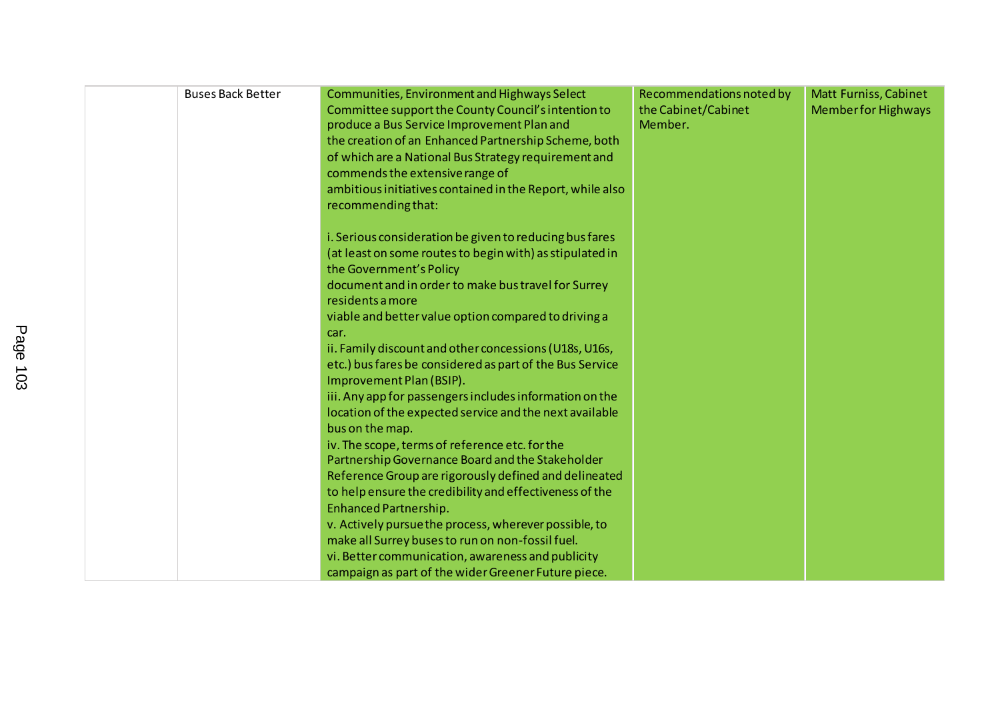| <b>Buses Back Better</b> | Communities, Environment and Highways Select<br>Committee support the County Council's intention to<br>produce a Bus Service Improvement Plan and<br>the creation of an Enhanced Partnership Scheme, both<br>of which are a National Bus Strategy requirement and<br>commends the extensive range of<br>ambitious initiatives contained in the Report, while also<br>recommending that:                                                                                                                                                                                                                                                                                                                                                                                                                                                 | Recommendations noted by<br>the Cabinet/Cabinet<br>Member. | <b>Matt Furniss, Cabinet</b><br><b>Member for Highways</b> |
|--------------------------|-----------------------------------------------------------------------------------------------------------------------------------------------------------------------------------------------------------------------------------------------------------------------------------------------------------------------------------------------------------------------------------------------------------------------------------------------------------------------------------------------------------------------------------------------------------------------------------------------------------------------------------------------------------------------------------------------------------------------------------------------------------------------------------------------------------------------------------------|------------------------------------------------------------|------------------------------------------------------------|
|                          | i. Serious consideration be given to reducing bus fares<br>(at least on some routes to begin with) as stipulated in<br>the Government's Policy<br>document and in order to make bus travel for Surrey<br>residents a more<br>viable and better value option compared to driving a<br>car.<br>ii. Family discount and other concessions (U18s, U16s,<br>etc.) bus fares be considered as part of the Bus Service<br>Improvement Plan (BSIP).<br>iii. Any app for passengers includes information on the<br>location of the expected service and the next available<br>bus on the map.<br>iv. The scope, terms of reference etc. for the<br>Partnership Governance Board and the Stakeholder<br>Reference Group are rigorously defined and delineated<br>to help ensure the credibility and effectiveness of the<br>Enhanced Partnership. |                                                            |                                                            |
|                          | v. Actively pursue the process, wherever possible, to<br>make all Surrey buses to run on non-fossil fuel.<br>vi. Better communication, awareness and publicity<br>campaign as part of the wider Greener Future piece.                                                                                                                                                                                                                                                                                                                                                                                                                                                                                                                                                                                                                   |                                                            |                                                            |